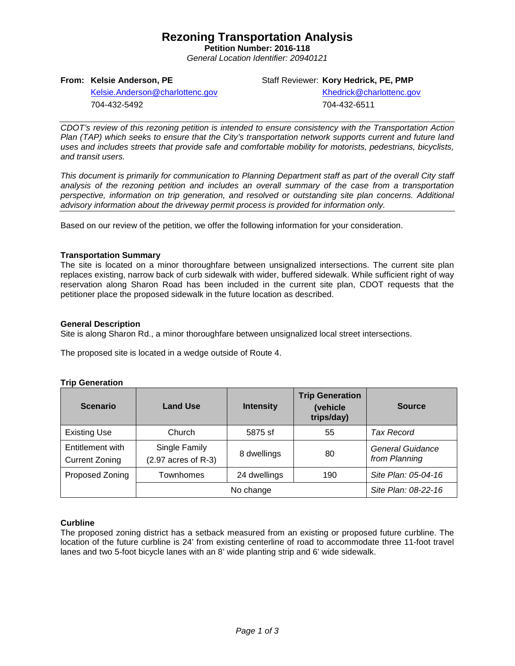## **Rezoning Transportation Analysis**

**Petition Number: 2016-118** *General Location Identifier: 20940121*

## **From: Kelsie Anderson, PE**

Staff Reviewer: **Kory Hedrick, PE, PMP**

[Kelsie.Anderson@charlottenc.gov](mailto:Kelsie.Anderson@charlottenc.gov) 704-432-5492

Khedrick@charlottenc.gov 704-432-6511

*CDOT's review of this rezoning petition is intended to ensure consistency with the Transportation Action Plan (TAP) which seeks to ensure that the City's transportation network supports current and future land uses and includes streets that provide safe and comfortable mobility for motorists, pedestrians, bicyclists, and transit users.*

*This document is primarily for communication to Planning Department staff as part of the overall City staff analysis of the rezoning petition and includes an overall summary of the case from a transportation perspective, information on trip generation, and resolved or outstanding site plan concerns. Additional advisory information about the driveway permit process is provided for information only.*

Based on our review of the petition, we offer the following information for your consideration.

## **Transportation Summary**

The site is located on a minor thoroughfare between unsignalized intersections. The current site plan replaces existing, narrow back of curb sidewalk with wider, buffered sidewalk. While sufficient right of way reservation along Sharon Road has been included in the current site plan, CDOT requests that the petitioner place the proposed sidewalk in the future location as described.

## **General Description**

Site is along Sharon Rd., a minor thoroughfare between unsignalized local street intersections.

The proposed site is located in a wedge outside of Route 4.

#### **Trip Generation**

| <b>Scenario</b>                           | <b>Land Use</b>                        | <b>Intensity</b> | <b>Trip Generation</b><br>(vehicle<br>trips/day) | <b>Source</b>                     |
|-------------------------------------------|----------------------------------------|------------------|--------------------------------------------------|-----------------------------------|
| <b>Existing Use</b>                       | Church                                 | 5875 sf          | 55                                               | Tax Record                        |
| Entitlement with<br><b>Current Zoning</b> | Single Family<br>$(2.97$ acres of R-3) | 8 dwellings      | 80                                               | General Guidance<br>from Planning |
| Proposed Zoning                           | Townhomes                              | 24 dwellings     | 190                                              | Site Plan: 05-04-16               |
|                                           |                                        | No change        |                                                  | Site Plan: 08-22-16               |

## **Curbline**

The proposed zoning district has a setback measured from an existing or proposed future curbline. The location of the future curbline is 24' from existing centerline of road to accommodate three 11-foot travel lanes and two 5-foot bicycle lanes with an 8' wide planting strip and 6' wide sidewalk.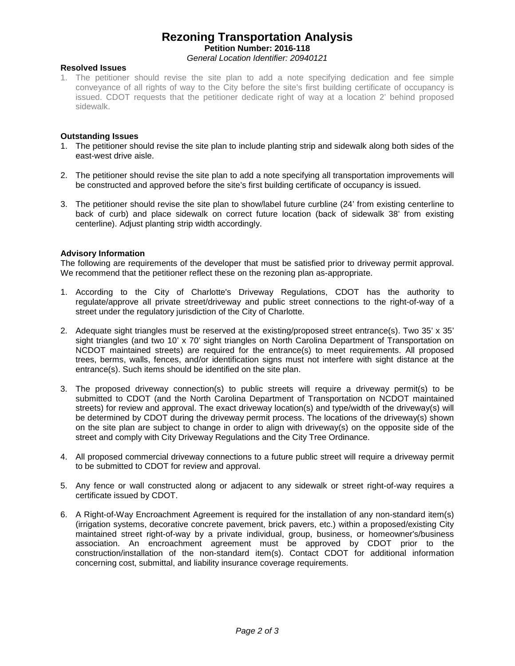## **Rezoning Transportation Analysis Petition Number: 2016-118** *General Location Identifier: 20940121*

## **Resolved Issues**

1. The petitioner should revise the site plan to add a note specifying dedication and fee simple conveyance of all rights of way to the City before the site's first building certificate of occupancy is issued. CDOT requests that the petitioner dedicate right of way at a location 2' behind proposed sidewalk.

## **Outstanding Issues**

- 1. The petitioner should revise the site plan to include planting strip and sidewalk along both sides of the east-west drive aisle.
- 2. The petitioner should revise the site plan to add a note specifying all transportation improvements will be constructed and approved before the site's first building certificate of occupancy is issued.
- 3. The petitioner should revise the site plan to show/label future curbline (24' from existing centerline to back of curb) and place sidewalk on correct future location (back of sidewalk 38' from existing centerline). Adjust planting strip width accordingly.

## **Advisory Information**

The following are requirements of the developer that must be satisfied prior to driveway permit approval. We recommend that the petitioner reflect these on the rezoning plan as-appropriate.

- 1. According to the City of Charlotte's Driveway Regulations, CDOT has the authority to regulate/approve all private street/driveway and public street connections to the right-of-way of a street under the regulatory jurisdiction of the City of Charlotte.
- 2. Adequate sight triangles must be reserved at the existing/proposed street entrance(s). Two 35' x 35' sight triangles (and two 10' x 70' sight triangles on North Carolina Department of Transportation on NCDOT maintained streets) are required for the entrance(s) to meet requirements. All proposed trees, berms, walls, fences, and/or identification signs must not interfere with sight distance at the entrance(s). Such items should be identified on the site plan.
- 3. The proposed driveway connection(s) to public streets will require a driveway permit(s) to be submitted to CDOT (and the North Carolina Department of Transportation on NCDOT maintained streets) for review and approval. The exact driveway location(s) and type/width of the driveway(s) will be determined by CDOT during the driveway permit process. The locations of the driveway(s) shown on the site plan are subject to change in order to align with driveway(s) on the opposite side of the street and comply with City Driveway Regulations and the City Tree Ordinance.
- 4. All proposed commercial driveway connections to a future public street will require a driveway permit to be submitted to CDOT for review and approval.
- 5. Any fence or wall constructed along or adjacent to any sidewalk or street right-of-way requires a certificate issued by CDOT.
- 6. A Right-of-Way Encroachment Agreement is required for the installation of any non-standard item(s) (irrigation systems, decorative concrete pavement, brick pavers, etc.) within a proposed/existing City maintained street right-of-way by a private individual, group, business, or homeowner's/business association. An encroachment agreement must be approved by CDOT prior to the construction/installation of the non-standard item(s). Contact CDOT for additional information concerning cost, submittal, and liability insurance coverage requirements.